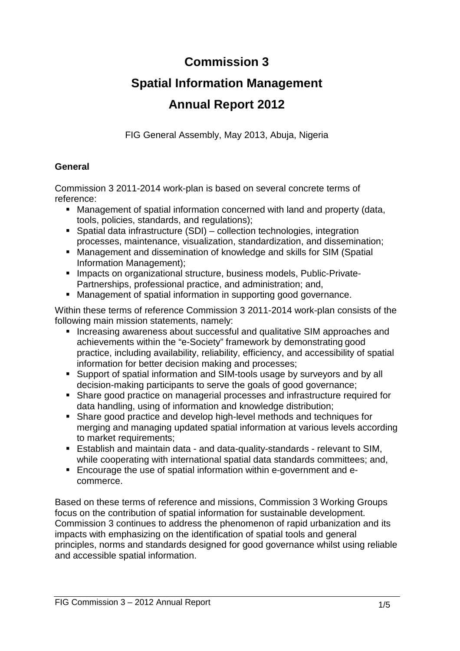## **Commission 3**

# **Spatial Information Management**

## **Annual Report 2012**

FIG General Assembly, May 2013, Abuja, Nigeria

#### **General**

Commission 3 2011-2014 work-plan is based on several concrete terms of reference:

- Management of spatial information concerned with land and property (data, tools, policies, standards, and regulations);
- Spatial data infrastructure (SDI) collection technologies, integration processes, maintenance, visualization, standardization, and dissemination;
- Management and dissemination of knowledge and skills for SIM (Spatial Information Management);
- **Impacts on organizational structure, business models, Public-Private-**Partnerships, professional practice, and administration; and,
- Management of spatial information in supporting good governance.

Within these terms of reference Commission 3 2011-2014 work-plan consists of the following main mission statements, namely:

- Increasing awareness about successful and qualitative SIM approaches and achievements within the "e-Society" framework by demonstrating good practice, including availability, reliability, efficiency, and accessibility of spatial information for better decision making and processes;
- Support of spatial information and SIM-tools usage by surveyors and by all decision-making participants to serve the goals of good governance;
- Share good practice on managerial processes and infrastructure required for data handling, using of information and knowledge distribution;
- Share good practice and develop high-level methods and techniques for merging and managing updated spatial information at various levels according to market requirements:
- Establish and maintain data and data-quality-standards relevant to SIM, while cooperating with international spatial data standards committees; and,
- Encourage the use of spatial information within e-government and ecommerce.

Based on these terms of reference and missions, Commission 3 Working Groups focus on the contribution of spatial information for sustainable development. Commission 3 continues to address the phenomenon of rapid urbanization and its impacts with emphasizing on the identification of spatial tools and general principles, norms and standards designed for good governance whilst using reliable and accessible spatial information.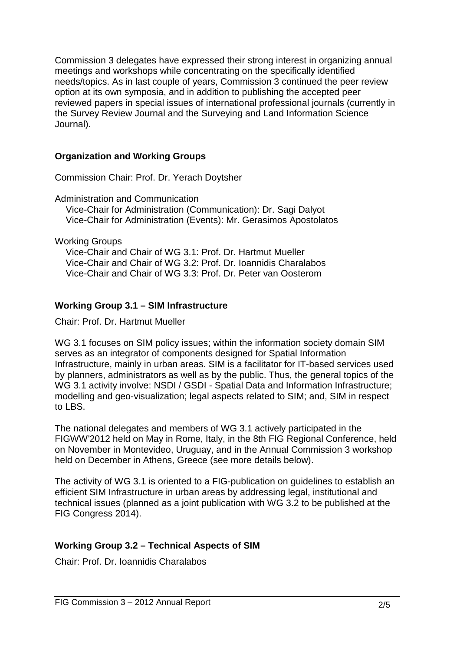Commission 3 delegates have expressed their strong interest in organizing annual meetings and workshops while concentrating on the specifically identified needs/topics. As in last couple of years, Commission 3 continued the peer review option at its own symposia, and in addition to publishing the accepted peer reviewed papers in special issues of international professional journals (currently in the Survey Review Journal and the Surveying and Land Information Science Journal).

### **Organization and Working Groups**

Commission Chair: Prof. Dr. Yerach Doytsher

Administration and Communication

Vice-Chair for Administration (Communication): Dr. Sagi Dalyot Vice-Chair for Administration (Events): Mr. Gerasimos Apostolatos

Working Groups

Vice-Chair and Chair of WG 3.1: Prof. Dr. Hartmut Mueller Vice-Chair and Chair of WG 3.2: Prof. Dr. Ioannidis Charalabos Vice-Chair and Chair of WG 3.3: Prof. Dr. Peter van Oosterom

### **Working Group 3.1 – SIM Infrastructure**

Chair: Prof. Dr. Hartmut Mueller

WG 3.1 focuses on SIM policy issues; within the information society domain SIM serves as an integrator of components designed for Spatial Information Infrastructure, mainly in urban areas. SIM is a facilitator for IT-based services used by planners, administrators as well as by the public. Thus, the general topics of the WG 3.1 activity involve: NSDI / GSDI - Spatial Data and Information Infrastructure: modelling and geo-visualization; legal aspects related to SIM; and, SIM in respect to LBS.

The national delegates and members of WG 3.1 actively participated in the FIGWW'2012 held on May in Rome, Italy, in the 8th FIG Regional Conference, held on November in Montevideo, Uruguay, and in the Annual Commission 3 workshop held on December in Athens, Greece (see more details below).

The activity of WG 3.1 is oriented to a FIG-publication on guidelines to establish an efficient SIM Infrastructure in urban areas by addressing legal, institutional and technical issues (planned as a joint publication with WG 3.2 to be published at the FIG Congress 2014).

## **Working Group 3.2 – Technical Aspects of SIM**

Chair: Prof. Dr. Ioannidis Charalabos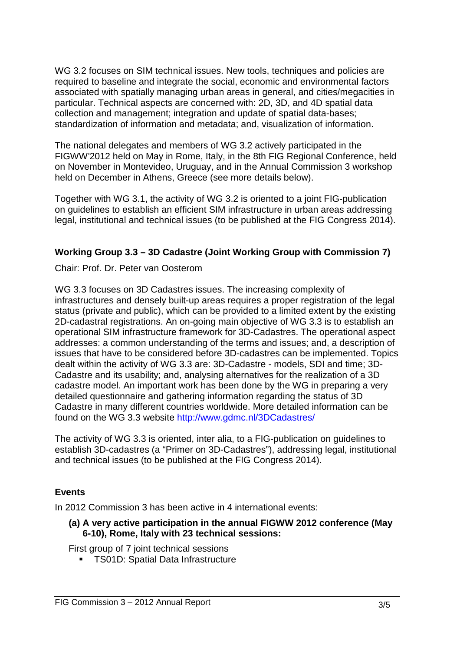WG 3.2 focuses on SIM technical issues. New tools, techniques and policies are required to baseline and integrate the social, economic and environmental factors associated with spatially managing urban areas in general, and cities/megacities in particular. Technical aspects are concerned with: 2D, 3D, and 4D spatial data collection and management; integration and update of spatial data-bases; standardization of information and metadata; and, visualization of information.

The national delegates and members of WG 3.2 actively participated in the FIGWW'2012 held on May in Rome, Italy, in the 8th FIG Regional Conference, held on November in Montevideo, Uruguay, and in the Annual Commission 3 workshop held on December in Athens, Greece (see more details below).

Together with WG 3.1, the activity of WG 3.2 is oriented to a joint FIG-publication on guidelines to establish an efficient SIM infrastructure in urban areas addressing legal, institutional and technical issues (to be published at the FIG Congress 2014).

### **Working Group 3.3 – 3D Cadastre (Joint Working Group with Commission 7)**

Chair: Prof. Dr. Peter van Oosterom

WG 3.3 focuses on 3D Cadastres issues. The increasing complexity of infrastructures and densely built-up areas requires a proper registration of the legal status (private and public), which can be provided to a limited extent by the existing 2D-cadastral registrations. An on-going main objective of WG 3.3 is to establish an operational SIM infrastructure framework for 3D-Cadastres. The operational aspect addresses: a common understanding of the terms and issues; and, a description of issues that have to be considered before 3D-cadastres can be implemented. Topics dealt within the activity of WG 3.3 are: 3D-Cadastre - models, SDI and time; 3D-Cadastre and its usability; and, analysing alternatives for the realization of a 3D cadastre model. An important work has been done by the WG in preparing a very detailed questionnaire and gathering information regarding the status of 3D Cadastre in many different countries worldwide. More detailed information can be found on the WG 3.3 website http://www.gdmc.nl/3DCadastres/

The activity of WG 3.3 is oriented, inter alia, to a FIG-publication on guidelines to establish 3D-cadastres (a "Primer on 3D-Cadastres"), addressing legal, institutional and technical issues (to be published at the FIG Congress 2014).

#### **Events**

In 2012 Commission 3 has been active in 4 international events:

#### **(a) A very active participation in the annual FIGWW 2012 conference (May 6-10), Rome, Italy with 23 technical sessions:**

First group of 7 joint technical sessions

**TS01D: Spatial Data Infrastructure**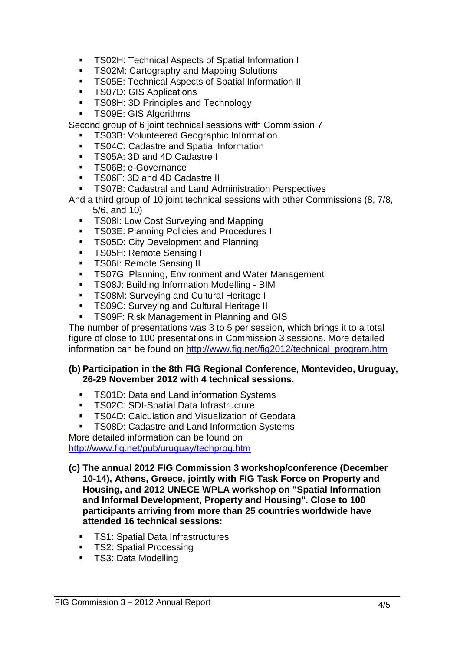- **TS02H: Technical Aspects of Spatial Information I**
- **TS02M: Cartography and Mapping Solutions**
- **TS05E: Technical Aspects of Spatial Information II**
- **TS07D: GIS Applications**
- **TS08H: 3D Principles and Technology**
- **TS09E: GIS Algorithms**

Second group of 6 joint technical sessions with Commission 7

- TS03B: Volunteered Geographic Information
- **TS04C: Cadastre and Spatial Information**
- TS05A: 3D and 4D Cadastre I
- **TS06B**: e-Governance
- TS06F: 3D and 4D Cadastre II
- TS07B: Cadastral and Land Administration Perspectives

And a third group of 10 joint technical sessions with other Commissions (8, 7/8, 5/6, and 10)

- **TS08I: Low Cost Surveying and Mapping**
- **TS03E: Planning Policies and Procedures II**
- **TS05D: City Development and Planning**
- **TS05H: Remote Sensing I**
- **TS06I: Remote Sensing II**
- **TS07G: Planning, Environment and Water Management**
- TS08J: Building Information Modelling BIM
- **TS08M: Surveying and Cultural Heritage I**
- TS09C: Surveying and Cultural Heritage II
- **TS09F: Risk Management in Planning and GIS**

The number of presentations was 3 to 5 per session, which brings it to a total figure of close to 100 presentations in Commission 3 sessions. More detailed information can be found on http://www.fig.net/fig2012/technical\_program.htm

#### **(b) Participation in the 8th FIG Regional Conference, Montevideo, Uruguay, 26-29 November 2012 with 4 technical sessions.**

- **TS01D: Data and Land information Systems**
- **TS02C: SDI-Spatial Data Infrastructure**
- **TS04D: Calculation and Visualization of Geodata**
- TS08D: Cadastre and Land Information Systems

More detailed information can be found on

http://www.fig.net/pub/uruguay/techprog.htm

- **(c) The annual 2012 FIG Commission 3 workshop/conference (December 10-14), Athens, Greece, jointly with FIG Task Force on Property and Housing, and 2012 UNECE WPLA workshop on "Spatial Information and Informal Development, Property and Housing". Close to 100 participants arriving from more than 25 countries worldwide have attended 16 technical sessions:** 
	- TS1: Spatial Data Infrastructures
	- TS2: Spatial Processing
	- **TS3: Data Modelling**